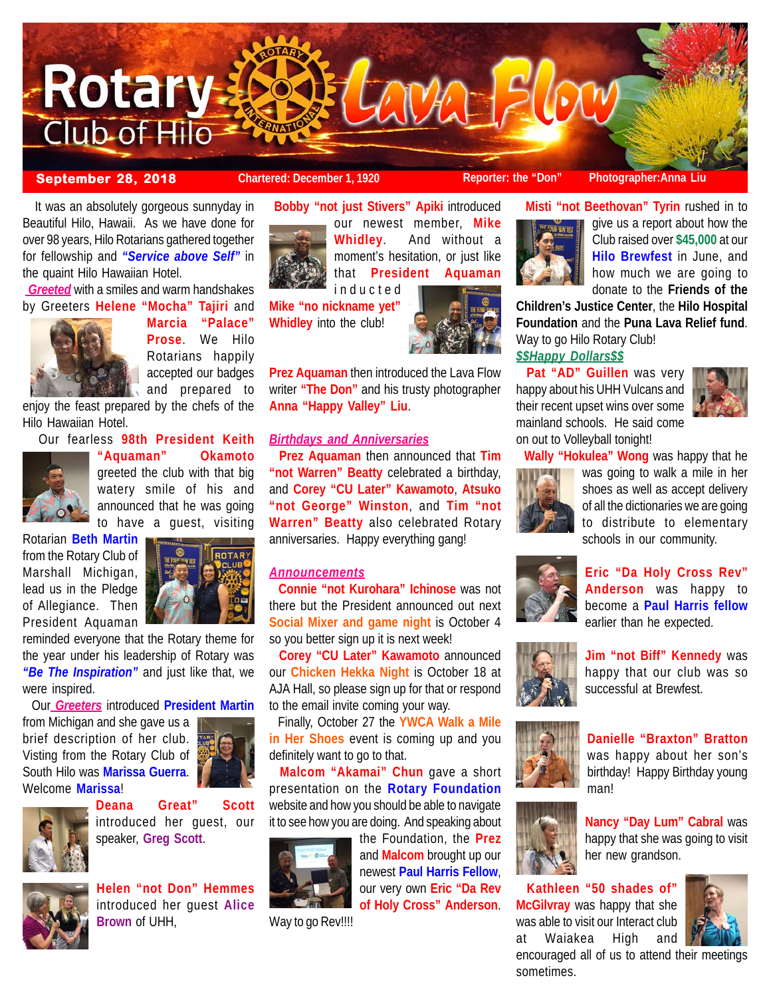

## **September 28, 2018 Chartered: December 1, 1920 Reporter: the "Don" Photographer:Anna Liu**

 It was an absolutely gorgeous sunnyday in Beautiful Hilo, Hawaii. As we have done for over 98 years, Hilo Rotarians gathered together for fellowship and *"Service above Self"* in the quaint Hilo Hawaiian Hotel.

 *Greeted* with a smiles and warm handshakes by Greeters **Helene "Mocha" Tajiri** and



**Marcia "Palace" Prose**. We Hilo Rotarians happily accepted our badges and prepared to

enjoy the feast prepared by the chefs of the Hilo Hawaiian Hotel.

Our fearless **98th President Keith**



**"Aquaman" Okamoto** greeted the club with that big watery smile of his and announced that he was going

Rotarian **Beth Martin** from the Rotary Club of Marshall Michigan, lead us in the Pledge of Allegiance. Then President Aquaman



reminded everyone that the Rotary theme for the year under his leadership of Rotary was *"Be The Inspiration"* and just like that, we were inspired.

Our *Greeters* introduced **President Martin**

from Michigan and she gave us a brief description of her club. Visting from the Rotary Club of South Hilo was **Marissa Guerra**. Welcome **Marissa**!



**Deana Great" Scott** introduced her guest, our speaker, **Greg Scott**.



**Helen "not Don" Hemmes** introduced her guest **Alice Brown** of UHH,



that **President Aquaman** inducted

**Mike "no nickname yet" Whidley** into the club!



**Prez Aquaman** then introduced the Lava Flow writer **"The Don"** and his trusty photographer **Anna "Happy Valley" Liu**.

### *Birthdays and Anniversaries*

 **Prez Aquaman** then announced that **Tim "not Warren" Beatty** celebrated a birthday, and **Corey "CU Later" Kawamoto**, **Atsuko "not George" Winston**, and **Tim "not Warren" Beatty** also celebrated Rotary anniversaries. Happy everything gang!

there but the President announced out next **Social Mixer and game night** is October 4 so you better sign up it is next week!

 **Corey "CU Later" Kawamoto** announced our **Chicken Hekka Night** is October 18 at AJA Hall, so please sign up for that or respond to the email invite coming your way.

 Finally, October 27 the **YWCA Walk a Mile in Her Shoes** event is coming up and you definitely want to go to that.

 **Malcom "Akamai" Chun** gave a short presentation on the **Rotary Foundation** website and how you should be able to navigate it to see how you are doing. And speaking about



the Foundation, the **Prez** and **Malcom** brought up our newest **Paul Harris Fellow**, our very own **Eric "Da Rev of Holy Cross" Anderson**.

Way to go Rev!!!!



 **Misti "not Beethovan" Tyrin** rushed in to give us a report about how the Club raised over **\$45,000** at our **Hilo Brewfest** in June, and how much we are going to donate to the **Friends of the**

**Children's Justice Center**, the **Hilo Hospital Foundation** and the **Puna Lava Relief fund**. Way to go Hilo Rotary Club!

## *\$\$Happy Dollars\$\$*

 **Pat "AD" Guillen** was very happy about his UHH Vulcans and their recent upset wins over some mainland schools. He said come on out to Volleyball tonight!



 **Wally "Hokulea" Wong** was happy that he



was going to walk a mile in her shoes as well as accept delivery of all the dictionaries we are going to distribute to elementary schools in our community.



**Eric "Da Holy Cross Rev" Anderson** was happy to become a **Paul Harris fellow** earlier than he expected.



**Jim "not Biff" Kennedy** was happy that our club was so successful at Brewfest.



**Danielle "Braxton" Bratton** was happy about her son's birthday! Happy Birthday young



man! **Nancy "Day Lum" Cabral** was

happy that she was going to visit her new grandson.

 **Kathleen "50 shades of" McGilvray** was happy that she was able to visit our Interact club at Waiakea High and



encouraged all of us to attend their meetings sometimes.



#### *Announcements*

**Connie "not Kurohara" Ichinose** was not